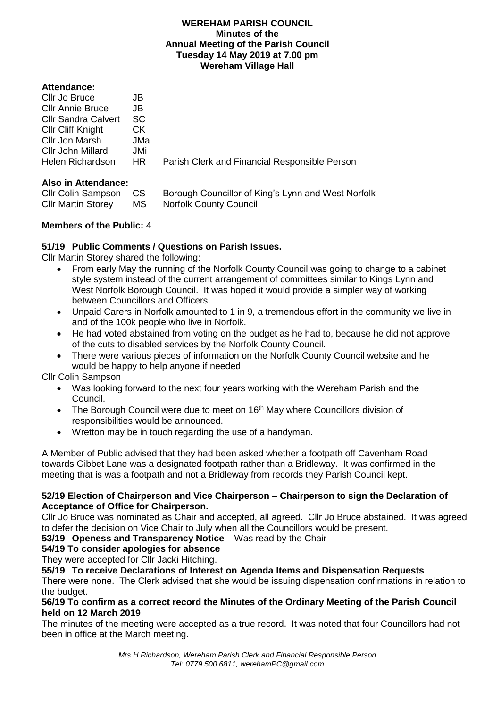#### **WEREHAM PARISH COUNCIL Minutes of the Annual Meeting of the Parish Council Tuesday 14 May 2019 at 7.00 pm Wereham Village Hall**

## **Attendance:**

| Cllr Jo Bruce              | JB  |                                               |
|----------------------------|-----|-----------------------------------------------|
| <b>CIIr Annie Bruce</b>    | JB  |                                               |
| <b>Cllr Sandra Calvert</b> | SC. |                                               |
| <b>CIIr Cliff Knight</b>   | CK. |                                               |
| Cllr Jon Marsh             | JMa |                                               |
| Cllr John Millard          | JMi |                                               |
| <b>Helen Richardson</b>    | HR. | Parish Clerk and Financial Responsible Person |
|                            |     |                                               |

# **Also in Attendance:**

| Cllr Colin Sampson CS     |    | Borough Councillor of King's Lynn and West Norfolk |
|---------------------------|----|----------------------------------------------------|
| <b>CIIr Martin Storey</b> | MS | <b>Norfolk County Council</b>                      |

# **Members of the Public:** 4

# **51/19 Public Comments / Questions on Parish Issues.**

Cllr Martin Storey shared the following:

- From early May the running of the Norfolk County Council was going to change to a cabinet style system instead of the current arrangement of committees similar to Kings Lynn and West Norfolk Borough Council. It was hoped it would provide a simpler way of working between Councillors and Officers.
- Unpaid Carers in Norfolk amounted to 1 in 9, a tremendous effort in the community we live in and of the 100k people who live in Norfolk.
- He had voted abstained from voting on the budget as he had to, because he did not approve of the cuts to disabled services by the Norfolk County Council.
- There were various pieces of information on the Norfolk County Council website and he would be happy to help anyone if needed.

Cllr Colin Sampson

- Was looking forward to the next four years working with the Wereham Parish and the Council.
- The Borough Council were due to meet on  $16<sup>th</sup>$  May where Councillors division of responsibilities would be announced.
- Wretton may be in touch regarding the use of a handyman.

A Member of Public advised that they had been asked whether a footpath off Cavenham Road towards Gibbet Lane was a designated footpath rather than a Bridleway. It was confirmed in the meeting that is was a footpath and not a Bridleway from records they Parish Council kept.

## **52/19 Election of Chairperson and Vice Chairperson – Chairperson to sign the Declaration of Acceptance of Office for Chairperson.**

Cllr Jo Bruce was nominated as Chair and accepted, all agreed. Cllr Jo Bruce abstained. It was agreed to defer the decision on Vice Chair to July when all the Councillors would be present.

**53/19 Openess and Transparency Notice** – Was read by the Chair

# **54/19 To consider apologies for absence**

They were accepted for Cllr Jacki Hitching.

**55/19 To receive Declarations of Interest on Agenda Items and Dispensation Requests** 

There were none. The Clerk advised that she would be issuing dispensation confirmations in relation to the budget.

## **56/19 To confirm as a correct record the Minutes of the Ordinary Meeting of the Parish Council held on 12 March 2019**

The minutes of the meeting were accepted as a true record. It was noted that four Councillors had not been in office at the March meeting.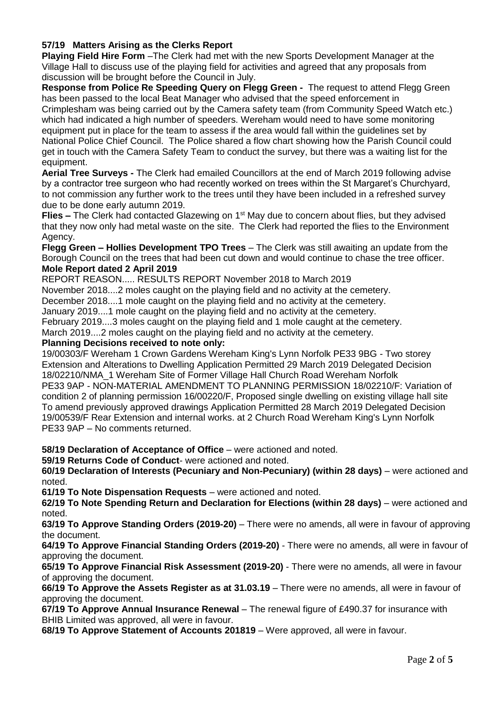# **57/19 Matters Arising as the Clerks Report**

**Playing Field Hire Form** –The Clerk had met with the new Sports Development Manager at the Village Hall to discuss use of the playing field for activities and agreed that any proposals from discussion will be brought before the Council in July.

**Response from Police Re Speeding Query on Flegg Green -** The request to attend Flegg Green has been passed to the local Beat Manager who advised that the speed enforcement in Crimplesham was being carried out by the Camera safety team (from Community Speed Watch etc.) which had indicated a high number of speeders. Wereham would need to have some monitoring equipment put in place for the team to assess if the area would fall within the guidelines set by

National Police Chief Council.The Police shared a flow chart showing how the Parish Council could get in touch with the Camera Safety Team to conduct the survey, but there was a waiting list for the equipment.

**Aerial Tree Surveys -** The Clerk had emailed Councillors at the end of March 2019 following advise by a contractor tree surgeon who had recently worked on trees within the St Margaret's Churchyard, to not commission any further work to the trees until they have been included in a refreshed survey due to be done early autumn 2019.

**Flies** – The Clerk had contacted Glazewing on 1<sup>st</sup> May due to concern about flies, but they advised that they now only had metal waste on the site. The Clerk had reported the flies to the Environment Agency.

**Flegg Green – Hollies Development TPO Trees** – The Clerk was still awaiting an update from the Borough Council on the trees that had been cut down and would continue to chase the tree officer. **Mole Report dated 2 April 2019**

REPORT REASON..... RESULTS REPORT November 2018 to March 2019

November 2018....2 moles caught on the playing field and no activity at the cemetery.

December 2018....1 mole caught on the playing field and no activity at the cemetery.

January 2019....1 mole caught on the playing field and no activity at the cemetery.

February 2019....3 moles caught on the playing field and 1 mole caught at the cemetery.

March 2019....2 moles caught on the playing field and no activity at the cemetery.

#### **Planning Decisions received to note only:**

19/00303/F Wereham 1 Crown Gardens Wereham King's Lynn Norfolk PE33 9BG - Two storey Extension and Alterations to Dwelling Application Permitted 29 March 2019 Delegated Decision 18/02210/NMA\_1 Wereham Site of Former Village Hall Church Road Wereham Norfolk PE33 9AP - NON-MATERIAL AMENDMENT TO PLANNING PERMISSION 18/02210/F: Variation of condition 2 of planning permission 16/00220/F, Proposed single dwelling on existing village hall site To amend previously approved drawings Application Permitted 28 March 2019 Delegated Decision 19/00539/F Rear Extension and internal works. at 2 Church Road Wereham King's Lynn Norfolk PE33 9AP – No comments returned.

**58/19 Declaration of Acceptance of Office** – were actioned and noted.

**59/19 Returns Code of Conduct**- were actioned and noted.

**60/19 Declaration of Interests (Pecuniary and Non-Pecuniary) (within 28 days)** – were actioned and noted.

**61/19 To Note Dispensation Requests** – were actioned and noted.

**62/19 To Note Spending Return and Declaration for Elections (within 28 days)** – were actioned and noted.

**63/19 To Approve Standing Orders (2019-20)** – There were no amends, all were in favour of approving the document.

**64/19 To Approve Financial Standing Orders (2019-20)** - There were no amends, all were in favour of approving the document.

**65/19 To Approve Financial Risk Assessment (2019-20)** - There were no amends, all were in favour of approving the document.

**66/19 To Approve the Assets Register as at 31.03.19** – There were no amends, all were in favour of approving the document.

**67/19 To Approve Annual Insurance Renewal** – The renewal figure of £490.37 for insurance with BHIB Limited was approved, all were in favour.

**68/19 To Approve Statement of Accounts 201819** – Were approved, all were in favour.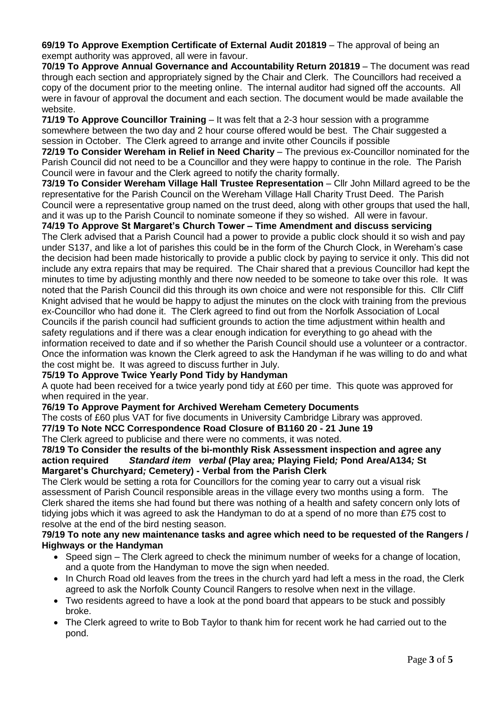**69/19 To Approve Exemption Certificate of External Audit 201819** – The approval of being an exempt authority was approved, all were in favour.

**70/19 To Approve Annual Governance and Accountability Return 201819** – The document was read through each section and appropriately signed by the Chair and Clerk. The Councillors had received a copy of the document prior to the meeting online. The internal auditor had signed off the accounts. All were in favour of approval the document and each section. The document would be made available the website.

**71/19 To Approve Councillor Training** – It was felt that a 2-3 hour session with a programme somewhere between the two day and 2 hour course offered would be best. The Chair suggested a session in October. The Clerk agreed to arrange and invite other Councils if possible

**72/19 To Consider Wereham in Relief in Need Charity** – The previous ex-Councillor nominated for the Parish Council did not need to be a Councillor and they were happy to continue in the role. The Parish Council were in favour and the Clerk agreed to notify the charity formally.

**73/19 To Consider Wereham Village Hall Trustee Representation** – Cllr John Millard agreed to be the representative for the Parish Council on the Wereham Village Hall Charity Trust Deed. The Parish Council were a representative group named on the trust deed, along with other groups that used the hall, and it was up to the Parish Council to nominate someone if they so wished. All were in favour.

# **74/19 To Approve St Margaret's Church Tower – Time Amendment and discuss servicing**

The Clerk advised that a Parish Council had a power to provide a public clock should it so wish and pay under S137, and like a lot of parishes this could be in the form of the Church Clock, in Wereham's case the decision had been made historically to provide a public clock by paying to service it only. This did not include any extra repairs that may be required. The Chair shared that a previous Councillor had kept the minutes to time by adjusting monthly and there now needed to be someone to take over this role. It was noted that the Parish Council did this through its own choice and were not responsible for this. Cllr Cliff Knight advised that he would be happy to adjust the minutes on the clock with training from the previous ex-Councillor who had done it. The Clerk agreed to find out from the Norfolk Association of Local Councils if the parish council had sufficient grounds to action the time adjustment within health and safety regulations and if there was a clear enough indication for everything to go ahead with the information received to date and if so whether the Parish Council should use a volunteer or a contractor. Once the information was known the Clerk agreed to ask the Handyman if he was willing to do and what the cost might be. It was agreed to discuss further in July.

## **75/19 To Approve Twice Yearly Pond Tidy by Handyman**

A quote had been received for a twice yearly pond tidy at £60 per time. This quote was approved for when required in the year.

#### **76/19 To Approve Payment for Archived Wereham Cemetery Documents**

The costs of £60 plus VAT for five documents in University Cambridge Library was approved.

**77/19 To Note NCC Correspondence Road Closure of B1160 20 - 21 June 19**

The Clerk agreed to publicise and there were no comments, it was noted.

#### **78/19 To Consider the results of the bi-monthly Risk Assessment inspection and agree any action required** *Standard item**verbal* **(Play area***;* **Playing Field***;* **Pond Area/A134***;* **St Margaret's Churchyard***;* **Cemetery) - Verbal from the Parish Clerk**

The Clerk would be setting a rota for Councillors for the coming year to carry out a visual risk assessment of Parish Council responsible areas in the village every two months using a form. The Clerk shared the items she had found but there was nothing of a health and safety concern only lots of tidying jobs which it was agreed to ask the Handyman to do at a spend of no more than £75 cost to resolve at the end of the bird nesting season.

#### **79/19 To note any new maintenance tasks and agree which need to be requested of the Rangers / Highways or the Handyman**

- Speed sign The Clerk agreed to check the minimum number of weeks for a change of location, and a quote from the Handyman to move the sign when needed.
- In Church Road old leaves from the trees in the church yard had left a mess in the road, the Clerk agreed to ask the Norfolk County Council Rangers to resolve when next in the village.
- Two residents agreed to have a look at the pond board that appears to be stuck and possibly broke.
- The Clerk agreed to write to Bob Taylor to thank him for recent work he had carried out to the pond.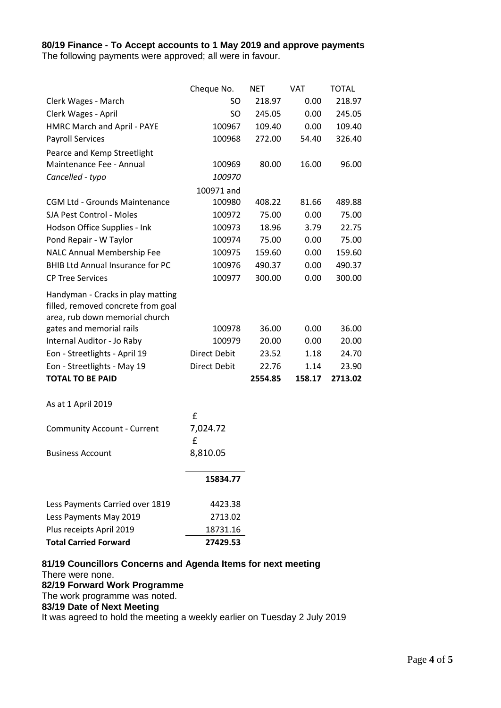# **80/19 Finance - To Accept accounts to 1 May 2019 and approve payments**

The following payments were approved; all were in favour.

|                                                                                                                                                                                                                                                                | Cheque No.                                                     | <b>NET</b>                                  | <b>VAT</b>                             | <b>TOTAL</b>                                |
|----------------------------------------------------------------------------------------------------------------------------------------------------------------------------------------------------------------------------------------------------------------|----------------------------------------------------------------|---------------------------------------------|----------------------------------------|---------------------------------------------|
| Clerk Wages - March                                                                                                                                                                                                                                            | SO.                                                            | 218.97                                      | 0.00                                   | 218.97                                      |
| Clerk Wages - April                                                                                                                                                                                                                                            | SO                                                             | 245.05                                      | 0.00                                   | 245.05                                      |
| HMRC March and April - PAYE                                                                                                                                                                                                                                    | 100967                                                         | 109.40                                      | 0.00                                   | 109.40                                      |
| <b>Payroll Services</b>                                                                                                                                                                                                                                        | 100968                                                         | 272.00                                      | 54.40                                  | 326.40                                      |
| Pearce and Kemp Streetlight                                                                                                                                                                                                                                    |                                                                |                                             |                                        |                                             |
| Maintenance Fee - Annual                                                                                                                                                                                                                                       | 100969                                                         | 80.00                                       | 16.00                                  | 96.00                                       |
| Cancelled - typo                                                                                                                                                                                                                                               | 100970                                                         |                                             |                                        |                                             |
|                                                                                                                                                                                                                                                                | 100971 and                                                     |                                             |                                        |                                             |
| <b>CGM Ltd - Grounds Maintenance</b>                                                                                                                                                                                                                           | 100980                                                         | 408.22                                      | 81.66                                  | 489.88                                      |
| SJA Pest Control - Moles                                                                                                                                                                                                                                       | 100972                                                         | 75.00                                       | 0.00                                   | 75.00                                       |
| Hodson Office Supplies - Ink                                                                                                                                                                                                                                   | 100973                                                         | 18.96                                       | 3.79                                   | 22.75                                       |
| Pond Repair - W Taylor                                                                                                                                                                                                                                         | 100974                                                         | 75.00                                       | 0.00                                   | 75.00                                       |
| NALC Annual Membership Fee                                                                                                                                                                                                                                     | 100975                                                         | 159.60                                      | 0.00                                   | 159.60                                      |
| <b>BHIB Ltd Annual Insurance for PC</b>                                                                                                                                                                                                                        | 100976                                                         | 490.37                                      | 0.00                                   | 490.37                                      |
| <b>CP Tree Services</b>                                                                                                                                                                                                                                        | 100977                                                         | 300.00                                      | 0.00                                   | 300.00                                      |
| Handyman - Cracks in play matting<br>filled, removed concrete from goal<br>area, rub down memorial church<br>gates and memorial rails<br>Internal Auditor - Jo Raby<br>Eon - Streetlights - April 19<br>Eon - Streetlights - May 19<br><b>TOTAL TO BE PAID</b> | 100978<br>100979<br><b>Direct Debit</b><br><b>Direct Debit</b> | 36.00<br>20.00<br>23.52<br>22.76<br>2554.85 | 0.00<br>0.00<br>1.18<br>1.14<br>158.17 | 36.00<br>20.00<br>24.70<br>23.90<br>2713.02 |
| As at 1 April 2019                                                                                                                                                                                                                                             |                                                                |                                             |                                        |                                             |
|                                                                                                                                                                                                                                                                | £                                                              |                                             |                                        |                                             |
| <b>Community Account - Current</b>                                                                                                                                                                                                                             | 7,024.72                                                       |                                             |                                        |                                             |
|                                                                                                                                                                                                                                                                | £                                                              |                                             |                                        |                                             |
| <b>Business Account</b>                                                                                                                                                                                                                                        | 8,810.05                                                       |                                             |                                        |                                             |
|                                                                                                                                                                                                                                                                | 15834.77                                                       |                                             |                                        |                                             |
| Less Payments Carried over 1819                                                                                                                                                                                                                                | 4423.38                                                        |                                             |                                        |                                             |
| Less Payments May 2019                                                                                                                                                                                                                                         | 2713.02                                                        |                                             |                                        |                                             |
| Plus receipts April 2019                                                                                                                                                                                                                                       | 18731.16                                                       |                                             |                                        |                                             |
| <b>Total Carried Forward</b>                                                                                                                                                                                                                                   | 27429.53                                                       |                                             |                                        |                                             |

There were none.

# **82/19 Forward Work Programme**

The work programme was noted.

#### **83/19 Date of Next Meeting**

It was agreed to hold the meeting a weekly earlier on Tuesday 2 July 2019